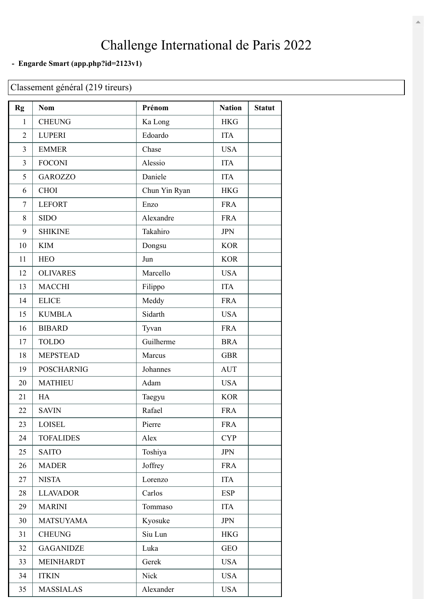## Challenge International de Paris 2022

## **- Engarde Smart [\(app.php?id=2123v1\)](https://www.engarde-service.com/app.php?id=2123v1)**

## Classement général (219 tireurs)

| Rg             | <b>Nom</b>        | Prénom        | <b>Nation</b> | <b>Statut</b> |
|----------------|-------------------|---------------|---------------|---------------|
| $\mathbf{1}$   | <b>CHEUNG</b>     | Ka Long       | <b>HKG</b>    |               |
| $\overline{2}$ | <b>LUPERI</b>     | Edoardo       | <b>ITA</b>    |               |
| 3              | <b>EMMER</b>      | Chase         | <b>USA</b>    |               |
| $\overline{3}$ | <b>FOCONI</b>     | Alessio       | <b>ITA</b>    |               |
| 5              | <b>GAROZZO</b>    | Daniele       | <b>ITA</b>    |               |
| 6              | <b>CHOI</b>       | Chun Yin Ryan | <b>HKG</b>    |               |
| 7              | <b>LEFORT</b>     | Enzo          | <b>FRA</b>    |               |
| 8              | <b>SIDO</b>       | Alexandre     | <b>FRA</b>    |               |
| 9              | <b>SHIKINE</b>    | Takahiro      | <b>JPN</b>    |               |
| 10             | <b>KIM</b>        | Dongsu        | <b>KOR</b>    |               |
| 11             | <b>HEO</b>        | Jun           | <b>KOR</b>    |               |
| 12             | <b>OLIVARES</b>   | Marcello      | <b>USA</b>    |               |
| 13             | <b>MACCHI</b>     | Filippo       | <b>ITA</b>    |               |
| 14             | <b>ELICE</b>      | Meddy         | <b>FRA</b>    |               |
| 15             | <b>KUMBLA</b>     | Sidarth       | <b>USA</b>    |               |
| 16             | <b>BIBARD</b>     | Tyvan         | <b>FRA</b>    |               |
| 17             | <b>TOLDO</b>      | Guilherme     | <b>BRA</b>    |               |
| 18             | <b>MEPSTEAD</b>   | Marcus        | <b>GBR</b>    |               |
| 19             | <b>POSCHARNIG</b> | Johannes      | <b>AUT</b>    |               |
| 20             | <b>MATHIEU</b>    | Adam          | <b>USA</b>    |               |
| 21             | HA                | Taegyu        | <b>KOR</b>    |               |
| 22             | <b>SAVIN</b>      | Rafael        | <b>FRA</b>    |               |
| 23             | <b>LOISEL</b>     | Pierre        | <b>FRA</b>    |               |
| 24             | <b>TOFALIDES</b>  | Alex          | <b>CYP</b>    |               |
| 25             | <b>SAITO</b>      | Toshiya       | <b>JPN</b>    |               |
| 26             | <b>MADER</b>      | Joffrey       | <b>FRA</b>    |               |
| 27             | <b>NISTA</b>      | Lorenzo       | <b>ITA</b>    |               |
| 28             | <b>LLAVADOR</b>   | Carlos        | <b>ESP</b>    |               |
| 29             | <b>MARINI</b>     | Tommaso       | <b>ITA</b>    |               |
| 30             | <b>MATSUYAMA</b>  | Kyosuke       | JPN           |               |
| 31             | <b>CHEUNG</b>     | Siu Lun       | <b>HKG</b>    |               |
| 32             | <b>GAGANIDZE</b>  | Luka          | <b>GEO</b>    |               |
| 33             | <b>MEINHARDT</b>  | Gerek         | <b>USA</b>    |               |
| 34             | <b>ITKIN</b>      | Nick          | <b>USA</b>    |               |
| 35             | <b>MASSIALAS</b>  | Alexander     | <b>USA</b>    |               |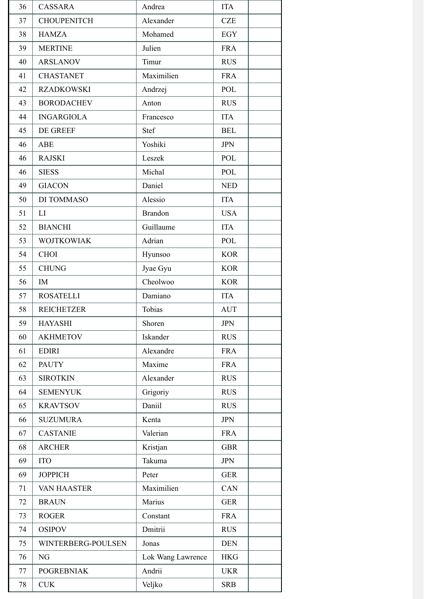| 36 | <b>CASSARA</b>     | Andrea            | <b>ITA</b> |
|----|--------------------|-------------------|------------|
| 37 | <b>CHOUPENITCH</b> | Alexander         | <b>CZE</b> |
| 38 | <b>HAMZA</b>       | Mohamed           | <b>EGY</b> |
| 39 | <b>MERTINE</b>     | Julien            | <b>FRA</b> |
| 40 | <b>ARSLANOV</b>    | Timur             | <b>RUS</b> |
| 41 | <b>CHASTANET</b>   | Maximilien        | <b>FRA</b> |
| 42 | <b>RZADKOWSKI</b>  | Andrzej           | POL        |
| 43 | <b>BORODACHEV</b>  | Anton             | <b>RUS</b> |
| 44 | <b>INGARGIOLA</b>  | Francesco         | <b>ITA</b> |
| 45 | DE GREEF           | Stef              | <b>BEL</b> |
| 46 | ABE                | Yoshiki           | <b>JPN</b> |
| 46 | <b>RAJSKI</b>      | Leszek            | POL        |
| 46 | <b>SIESS</b>       | Michal            | POL        |
| 49 | <b>GIACON</b>      | Daniel            | <b>NED</b> |
| 50 | DI TOMMASO         | Alessio           | <b>ITA</b> |
| 51 | LI                 | <b>Brandon</b>    | <b>USA</b> |
| 52 | <b>BIANCHI</b>     | Guillaume         | <b>ITA</b> |
| 53 | <b>WOJTKOWIAK</b>  | Adrian            | POL        |
| 54 | <b>CHOI</b>        | Hyunsoo           | <b>KOR</b> |
| 55 | <b>CHUNG</b>       | Jyae Gyu          | <b>KOR</b> |
| 56 | IM                 | Cheolwoo          | <b>KOR</b> |
| 57 | <b>ROSATELLI</b>   | Damiano           | <b>ITA</b> |
| 58 | <b>REICHETZER</b>  | Tobias            | <b>AUT</b> |
| 59 | <b>HAYASHI</b>     | Shoren            | <b>JPN</b> |
| 60 | <b>AKHMETOV</b>    | Iskander          | <b>RUS</b> |
| 61 | <b>EDIRI</b>       | Alexandre         | <b>FRA</b> |
| 62 | <b>PAUTY</b>       | Maxime            | <b>FRA</b> |
| 63 | <b>SIROTKIN</b>    | Alexander         | <b>RUS</b> |
| 64 | <b>SEMENYUK</b>    | Grigoriy          | <b>RUS</b> |
| 65 | <b>KRAVTSOV</b>    | Daniil            | <b>RUS</b> |
| 66 | <b>SUZUMURA</b>    | Kenta             | <b>JPN</b> |
| 67 | <b>CASTANIE</b>    | Valerian          | <b>FRA</b> |
| 68 | <b>ARCHER</b>      | Kristjan          | <b>GBR</b> |
| 69 | <b>ITO</b>         | Takuma            | <b>JPN</b> |
| 69 | <b>JOPPICH</b>     | Peter             | <b>GER</b> |
| 71 | VAN HAASTER        | Maximilien        | CAN        |
| 72 | <b>BRAUN</b>       | Marius            | <b>GER</b> |
| 73 | <b>ROGER</b>       | Constant          | <b>FRA</b> |
| 74 | <b>OSIPOV</b>      | Dmitrii           | <b>RUS</b> |
| 75 | WINTERBERG-POULSEN | Jonas             | <b>DEN</b> |
| 76 | NG                 | Lok Wang Lawrence | <b>HKG</b> |
| 77 | <b>POGREBNIAK</b>  | Andrii            | <b>UKR</b> |
| 78 | <b>CUK</b>         | Veljko            | <b>SRB</b> |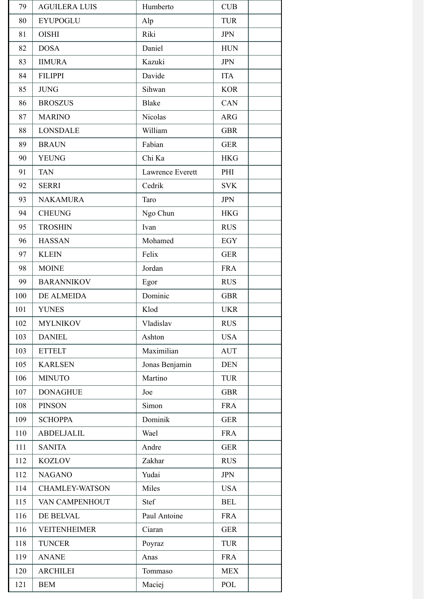| 79  | <b>AGUILERA LUIS</b> | Humberto         | CUB        |
|-----|----------------------|------------------|------------|
| 80  | <b>EYUPOGLU</b>      | Alp              | <b>TUR</b> |
| 81  | <b>OISHI</b>         | Riki             | <b>JPN</b> |
| 82  | <b>DOSA</b>          | Daniel           | <b>HUN</b> |
| 83  | <b>IIMURA</b>        | Kazuki           | <b>JPN</b> |
| 84  | <b>FILIPPI</b>       | Davide           | <b>ITA</b> |
| 85  | <b>JUNG</b>          | Sihwan           | <b>KOR</b> |
| 86  | <b>BROSZUS</b>       | <b>Blake</b>     | <b>CAN</b> |
| 87  | <b>MARINO</b>        | Nicolas          | <b>ARG</b> |
| 88  | <b>LONSDALE</b>      | William          | <b>GBR</b> |
| 89  | <b>BRAUN</b>         | Fabian           | <b>GER</b> |
| 90  | <b>YEUNG</b>         | Chi Ka           | <b>HKG</b> |
| 91  | <b>TAN</b>           | Lawrence Everett | PHI        |
| 92  | <b>SERRI</b>         | Cedrik           | <b>SVK</b> |
| 93  | <b>NAKAMURA</b>      | Taro             | <b>JPN</b> |
| 94  | <b>CHEUNG</b>        | Ngo Chun         | <b>HKG</b> |
| 95  | <b>TROSHIN</b>       | Ivan             | <b>RUS</b> |
| 96  | <b>HASSAN</b>        | Mohamed          | <b>EGY</b> |
| 97  | <b>KLEIN</b>         | Felix            | <b>GER</b> |
| 98  | <b>MOINE</b>         | Jordan           | <b>FRA</b> |
| 99  | <b>BARANNIKOV</b>    | Egor             | <b>RUS</b> |
| 100 | DE ALMEIDA           | Dominic          | <b>GBR</b> |
| 101 | <b>YUNES</b>         | Klod             | <b>UKR</b> |
| 102 | <b>MYLNIKOV</b>      | Vladislav        | <b>RUS</b> |
| 103 | <b>DANIEL</b>        | Ashton           | <b>USA</b> |
| 103 | <b>ETTELT</b>        | Maximilian       | <b>AUT</b> |
| 105 | <b>KARLSEN</b>       | Jonas Benjamin   | <b>DEN</b> |
| 106 | <b>MINUTO</b>        | Martino          | <b>TUR</b> |
| 107 | <b>DONAGHUE</b>      | Joe              | <b>GBR</b> |
| 108 | <b>PINSON</b>        | Simon            | <b>FRA</b> |
| 109 | <b>SCHOPPA</b>       | Dominik          | <b>GER</b> |
| 110 | <b>ABDELJALIL</b>    | Wael             | <b>FRA</b> |
| 111 | <b>SANITA</b>        | Andre            | <b>GER</b> |
| 112 | <b>KOZLOV</b>        | Zakhar           | <b>RUS</b> |
| 112 | <b>NAGANO</b>        | Yudai            | <b>JPN</b> |
| 114 | CHAMLEY-WATSON       | Miles            | <b>USA</b> |
| 115 | VAN CAMPENHOUT       | Stef             | <b>BEL</b> |
| 116 | DE BELVAL            | Paul Antoine     | <b>FRA</b> |
| 116 | <b>VEITENHEIMER</b>  | Ciaran           | <b>GER</b> |
| 118 | <b>TUNCER</b>        | Poyraz           | <b>TUR</b> |
| 119 | <b>ANANE</b>         | Anas             | <b>FRA</b> |
| 120 | <b>ARCHILEI</b>      | Tommaso          | <b>MEX</b> |
| 121 | <b>BEM</b>           | Maciej           | POL        |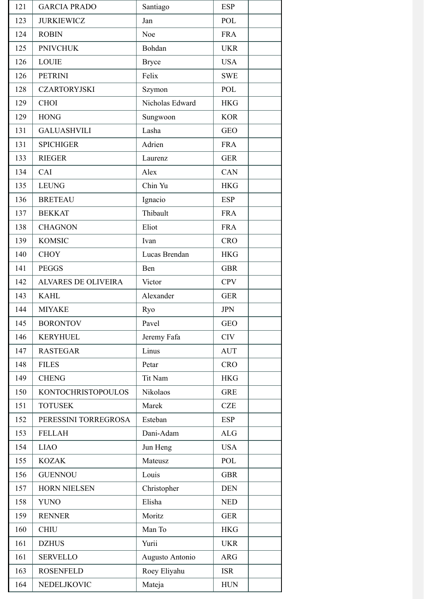| 121 | <b>GARCIA PRADO</b>        | Santiago        | <b>ESP</b> |
|-----|----------------------------|-----------------|------------|
| 123 | <b>JURKIEWICZ</b>          | Jan             | POL        |
| 124 | <b>ROBIN</b>               | Noe             | <b>FRA</b> |
| 125 | <b>PNIVCHUK</b>            | Bohdan          | <b>UKR</b> |
| 126 | <b>LOUIE</b>               | <b>Bryce</b>    | <b>USA</b> |
| 126 | <b>PETRINI</b>             | Felix           | <b>SWE</b> |
| 128 | <b>CZARTORYJSKI</b>        | Szymon          | POL        |
| 129 | <b>CHOI</b>                | Nicholas Edward | <b>HKG</b> |
| 129 | <b>HONG</b>                | Sungwoon        | <b>KOR</b> |
| 131 | <b>GALUASHVILI</b>         | Lasha           | <b>GEO</b> |
| 131 | <b>SPICHIGER</b>           | Adrien          | <b>FRA</b> |
| 133 | <b>RIEGER</b>              | Laurenz         | <b>GER</b> |
| 134 | CAI                        | Alex            | <b>CAN</b> |
| 135 | <b>LEUNG</b>               | Chin Yu         | <b>HKG</b> |
| 136 | <b>BRETEAU</b>             | Ignacio         | <b>ESP</b> |
| 137 | <b>BEKKAT</b>              | Thibault        | <b>FRA</b> |
| 138 | <b>CHAGNON</b>             | Eliot           | <b>FRA</b> |
| 139 | <b>KOMSIC</b>              | Ivan            | <b>CRO</b> |
| 140 | <b>CHOY</b>                | Lucas Brendan   | <b>HKG</b> |
| 141 | <b>PEGGS</b>               | Ben             | <b>GBR</b> |
| 142 | <b>ALVARES DE OLIVEIRA</b> | Victor          | <b>CPV</b> |
| 143 | <b>KAHL</b>                | Alexander       | <b>GER</b> |
| 144 | <b>MIYAKE</b>              | Ryo             | <b>JPN</b> |
| 145 | <b>BORONTOV</b>            | Pavel           | GEO        |
| 146 | <b>KERYHUEL</b>            | Jeremy Fafa     | <b>CIV</b> |
| 147 | <b>RASTEGAR</b>            | Linus           | <b>AUT</b> |
| 148 | <b>FILES</b>               | Petar           | <b>CRO</b> |
| 149 | <b>CHENG</b>               | Tit Nam         | <b>HKG</b> |
| 150 | <b>KONTOCHRISTOPOULOS</b>  | Nikolaos        | <b>GRE</b> |
| 151 | <b>TOTUSEK</b>             | Marek           | <b>CZE</b> |
| 152 | PERESSINI TORREGROSA       | Esteban         | <b>ESP</b> |
| 153 | <b>FELLAH</b>              | Dani-Adam       | ALG        |
| 154 | <b>LIAO</b>                | Jun Heng        | <b>USA</b> |
| 155 | <b>KOZAK</b>               | Mateusz         | POL        |
| 156 | <b>GUENNOU</b>             | Louis           | <b>GBR</b> |
| 157 | <b>HORN NIELSEN</b>        | Christopher     | <b>DEN</b> |
| 158 | <b>YUNO</b>                | Elisha          | <b>NED</b> |
| 159 | <b>RENNER</b>              | Moritz          | <b>GER</b> |
| 160 | <b>CHIU</b>                | Man To          | <b>HKG</b> |
| 161 | <b>DZHUS</b>               | Yurii           | <b>UKR</b> |
| 161 | <b>SERVELLO</b>            | Augusto Antonio | <b>ARG</b> |
| 163 | <b>ROSENFELD</b>           | Roey Eliyahu    | <b>ISR</b> |
| 164 | NEDELJKOVIC                | Mateja          | <b>HUN</b> |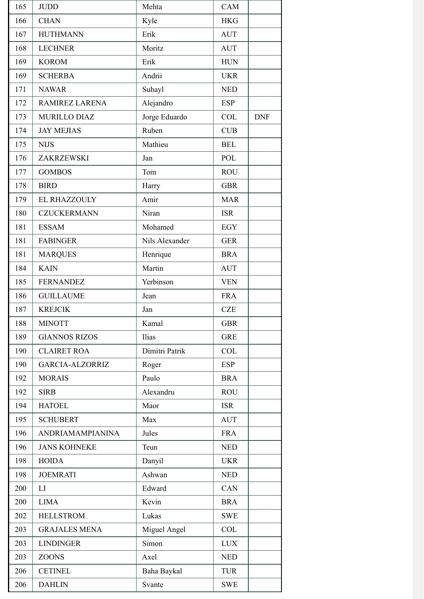| 165 | <b>JUDD</b>             | Mehta          | CAM        |            |
|-----|-------------------------|----------------|------------|------------|
| 166 | <b>CHAN</b>             | Kyle           | <b>HKG</b> |            |
| 167 | <b>HUTHMANN</b>         | Erik           | <b>AUT</b> |            |
| 168 | <b>LECHNER</b>          | Moritz         | <b>AUT</b> |            |
| 169 | <b>KOROM</b>            | Erik           | <b>HUN</b> |            |
| 169 | <b>SCHERBA</b>          | Andrii         | <b>UKR</b> |            |
| 171 | <b>NAWAR</b>            | Suhayl         | <b>NED</b> |            |
| 172 | RAMIREZ LARENA          | Alejandro      | <b>ESP</b> |            |
| 173 | <b>MURILLO DIAZ</b>     | Jorge Eduardo  | <b>COL</b> | <b>DNF</b> |
| 174 | <b>JAY MEJIAS</b>       | Ruben          | <b>CUB</b> |            |
| 175 | <b>NIJS</b>             | Mathieu        | <b>BEL</b> |            |
| 176 | ZAKRZEWSKI              | Jan            | POL        |            |
| 177 | <b>GOMBOS</b>           | Tom            | <b>ROU</b> |            |
| 178 | <b>BIRD</b>             | Harry          | <b>GBR</b> |            |
| 179 | EL RHAZZOULY            | Amir           | <b>MAR</b> |            |
| 180 | <b>CZUCKERMANN</b>      | Niran          | <b>ISR</b> |            |
| 181 | <b>ESSAM</b>            | Mohamed        | <b>EGY</b> |            |
| 181 | <b>FABINGER</b>         | Nils Alexander | <b>GER</b> |            |
| 181 | <b>MARQUES</b>          | Henrique       | <b>BRA</b> |            |
| 184 | <b>KAIN</b>             | Martin         | <b>AUT</b> |            |
| 185 | <b>FERNANDEZ</b>        | Yerbinson      | <b>VEN</b> |            |
| 186 | <b>GUILLAUME</b>        | Jean           | <b>FRA</b> |            |
| 187 | <b>KREJCIK</b>          | Jan            | <b>CZE</b> |            |
| 188 | <b>MINOTT</b>           | Kamal          | <b>GBR</b> |            |
| 189 | <b>GIANNOS RIZOS</b>    | Ilias          | <b>GRE</b> |            |
| 190 | <b>CLAIRET ROA</b>      | Dimitri Patrik | <b>COL</b> |            |
| 190 | <b>GARCIA-ALZORRIZ</b>  | Roger          | <b>ESP</b> |            |
| 192 | <b>MORAIS</b>           | Paulo          | <b>BRA</b> |            |
| 192 | <b>SIRB</b>             | Alexandru      | <b>ROU</b> |            |
| 194 | <b>HATOEL</b>           | Maor           | <b>ISR</b> |            |
| 195 | <b>SCHUBERT</b>         | Max            | <b>AUT</b> |            |
| 196 | <b>ANDRIAMAMPIANINA</b> | Jules          | <b>FRA</b> |            |
| 196 | <b>JANS KOHNEKE</b>     | Teun           | <b>NED</b> |            |
| 198 | <b>HOIDA</b>            | Danyil         | <b>UKR</b> |            |
| 198 | <b>JOEMRATI</b>         | Ashwan         | <b>NED</b> |            |
| 200 | LI                      | Edward         | CAN        |            |
| 200 | <b>LIMA</b>             | Kevin          | <b>BRA</b> |            |
| 202 | <b>HELLSTROM</b>        | Lukas          | <b>SWE</b> |            |
| 203 | <b>GRAJALES MENA</b>    | Miguel Angel   | <b>COL</b> |            |
| 203 | <b>LINDINGER</b>        | Simon          | <b>LUX</b> |            |
| 203 | <b>ZOONS</b>            | Axel           | <b>NED</b> |            |
| 206 | <b>CETINEL</b>          | Baha Baykal    | <b>TUR</b> |            |
| 206 | <b>DAHLIN</b>           | Svante         | <b>SWE</b> |            |